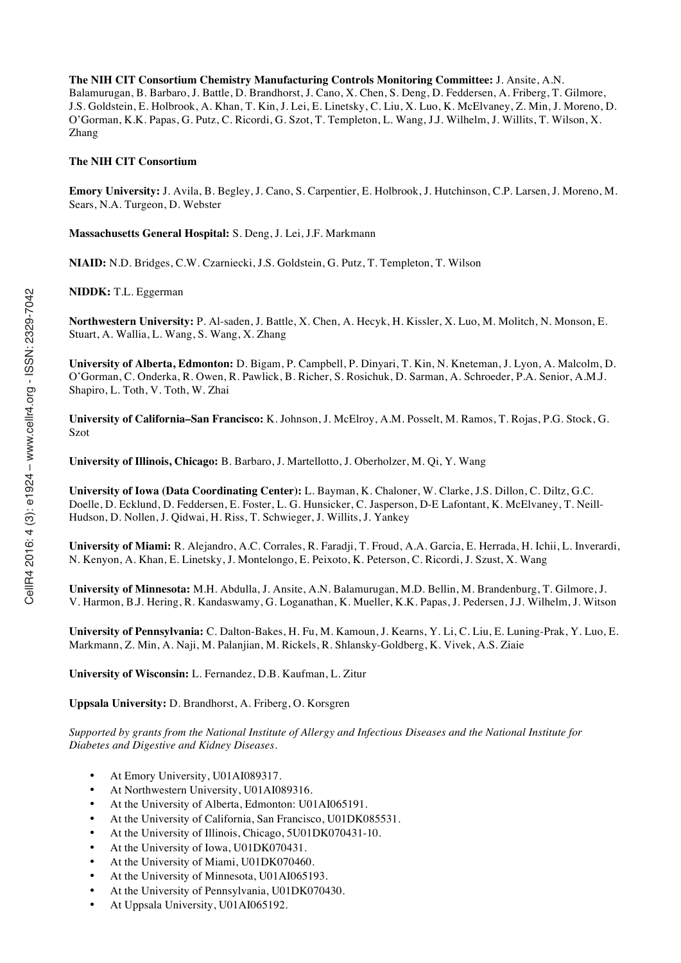**The NIH CIT Consortium Chemistry Manufacturing Controls Monitoring Committee:** J. Ansite, A.N. Balamurugan, B. Barbaro, J. Battle, D. Brandhorst, J. Cano, X. Chen, S. Deng, D. Feddersen, A. Friberg, T. Gilmore, J.S. Goldstein, E. Holbrook, A. Khan, T. Kin, J. Lei, E. Linetsky, C. Liu, X. Luo, K. McElvaney, Z. Min, J. Moreno, D. O'Gorman, K.K. Papas, G. Putz, C. Ricordi, G. Szot, T. Templeton, L. Wang, J.J. Wilhelm, J. Willits, T. Wilson, X. Zhang

#### **The NIH CIT Consortium**

**Emory University:** J. Avila, B. Begley, J. Cano, S. Carpentier, E. Holbrook, J. Hutchinson, C.P. Larsen, J. Moreno, M. Sears, N.A. Turgeon, D. Webster

**Massachusetts General Hospital:** S. Deng, J. Lei, J.F. Markmann

**NIAID:** N.D. Bridges, C.W. Czarniecki, J.S. Goldstein, G. Putz, T. Templeton, T. Wilson

**NIDDK:** T.L. Eggerman

**Northwestern University:** P. Al-saden, J. Battle, X. Chen, A. Hecyk, H. Kissler, X. Luo, M. Molitch, N. Monson, E. Stuart, A. Wallia, L. Wang, S. Wang, X. Zhang

**University of Alberta, Edmonton:** D. Bigam, P. Campbell, P. Dinyari, T. Kin, N. Kneteman, J. Lyon, A. Malcolm, D. O'Gorman, C. Onderka, R. Owen, R. Pawlick, B. Richer, S. Rosichuk, D. Sarman, A. Schroeder, P.A. Senior, A.M.J. Shapiro, L. Toth, V. Toth, W. Zhai

**University of California–San Francisco:** K. Johnson, J. McElroy, A.M. Posselt, M. Ramos, T. Rojas, P.G. Stock, G. Szot

**University of Illinois, Chicago:** B. Barbaro, J. Martellotto, J. Oberholzer, M. Qi, Y. Wang

**University of Iowa (Data Coordinating Center):** L. Bayman, K. Chaloner, W. Clarke, J.S. Dillon, C. Diltz, G.C. Doelle, D. Ecklund, D. Feddersen, E. Foster, L. G. Hunsicker, C. Jasperson, D-E Lafontant, K. McElvaney, T. Neill-Hudson, D. Nollen, J. Qidwai, H. Riss, T. Schwieger, J. Willits, J. Yankey

**University of Miami:** R. Alejandro, A.C. Corrales, R. Faradji, T. Froud, A.A. Garcia, E. Herrada, H. Ichii, L. Inverardi, N. Kenyon, A. Khan, E. Linetsky, J. Montelongo, E. Peixoto, K. Peterson, C. Ricordi, J. Szust, X. Wang

**University of Minnesota:** M.H. Abdulla, J. Ansite, A.N. Balamurugan, M.D. Bellin, M. Brandenburg, T. Gilmore, J. V. Harmon, B.J. Hering, R. Kandaswamy, G. Loganathan, K. Mueller, K.K. Papas, J. Pedersen, J.J. Wilhelm, J. Witson

**University of Pennsylvania:** C. Dalton-Bakes, H. Fu, M. Kamoun, J. Kearns, Y. Li, C. Liu, E. Luning-Prak, Y. Luo, E. Markmann, Z. Min, A. Naji, M. Palanjian, M. Rickels, R. Shlansky-Goldberg, K. Vivek, A.S. Ziaie

**University of Wisconsin:** L. Fernandez, D.B. Kaufman, L. Zitur

**Uppsala University:** D. Brandhorst, A. Friberg, O. Korsgren

*Supported by grants from the National Institute of Allergy and Infectious Diseases and the National Institute for Diabetes and Digestive and Kidney Diseases.*

- At Emory University, U01AI089317.
- At Northwestern University, U01AI089316.
- At the University of Alberta, Edmonton: U01AI065191.
- At the University of California, San Francisco, U01DK085531.
- At the University of Illinois, Chicago, 5U01DK070431-10.
- At the University of Iowa, U01DK070431.
- At the University of Miami, U01DK070460.
- At the University of Minnesota, U01AI065193.
- At the University of Pennsylvania, U01DK070430.
- At Uppsala University, U01AI065192.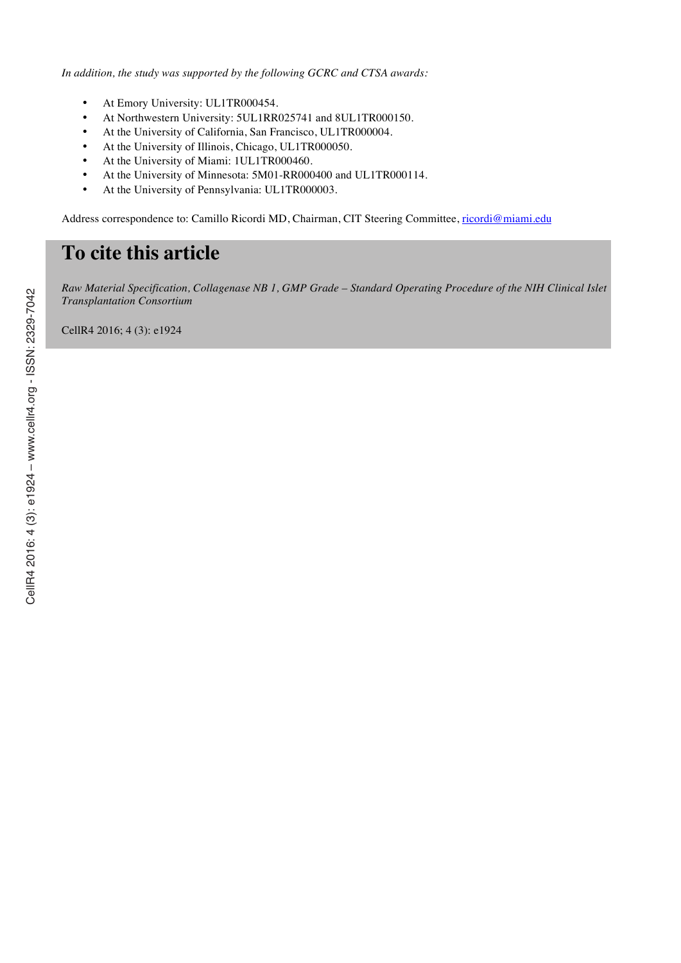*In addition, the study was supported by the following GCRC and CTSA awards:*

- At Emory University: UL1TR000454.
- At Northwestern University: 5UL1RR025741 and 8UL1TR000150.
- At the University of California, San Francisco, UL1TR000004.
- At the University of Illinois, Chicago, UL1TR000050.
- At the University of Miami: 1UL1TR000460.
- At the University of Minnesota: 5M01-RR000400 and UL1TR000114.
- At the University of Pennsylvania: UL1TR000003.

Address correspondence to: Camillo Ricordi MD, Chairman, CIT Steering Committee, ricordi@miami.edu

# **To cite this article**

*Raw Material Specification, Collagenase NB 1, GMP Grade – Standard Operating Procedure of the NIH Clinical Islet Transplantation Consortium*

CellR4 2016; 4 (3): e1924